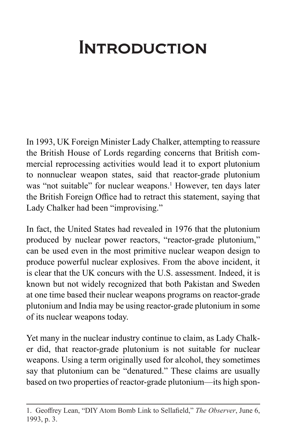## **INTRODUCTION**

In 1993, UK Foreign Minister Lady Chalker, attempting to reassure the British House of Lords regarding concerns that British commercial reprocessing activities would lead it to export plutonium to nonnuclear weapon states, said that reactor-grade plutonium was "not suitable" for nuclear weapons.<sup>1</sup> However, ten days later the British Foreign Office had to retract this statement, saying that Lady Chalker had been "improvising."

In fact, the United States had revealed in 1976 that the plutonium produced by nuclear power reactors, "reactor-grade plutonium," can be used even in the most primitive nuclear weapon design to produce powerful nuclear explosives. From the above incident, it is clear that the UK concurs with the U.S. assessment. Indeed, it is known but not widely recognized that both Pakistan and Sweden at one time based their nuclear weapons programs on reactor-grade plutonium and India may be using reactor-grade plutonium in some of its nuclear weapons today.

Yet many in the nuclear industry continue to claim, as Lady Chalker did, that reactor-grade plutonium is not suitable for nuclear weapons. Using a term originally used for alcohol, they sometimes say that plutonium can be "denatured." These claims are usually based on two properties of reactor-grade plutonium—its high spon-

<sup>1.</sup> Geoffrey Lean, "DIY Atom Bomb Link to Sellafield," *The Observer*, June 6, 1993, p. 3.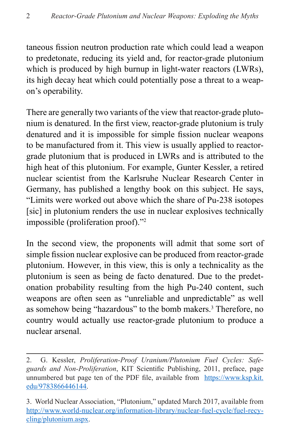taneous fission neutron production rate which could lead a weapon to predetonate, reducing its yield and, for reactor-grade plutonium which is produced by high burnup in light-water reactors (LWRs), its high decay heat which could potentially pose a threat to a weapon's operability.

There are generally two variants of the view that reactor-grade plutonium is denatured. In the first view, reactor-grade plutonium is truly denatured and it is impossible for simple fission nuclear weapons to be manufactured from it. This view is usually applied to reactorgrade plutonium that is produced in LWRs and is attributed to the high heat of this plutonium. For example, Gunter Kessler, a retired nuclear scientist from the Karlsruhe Nuclear Research Center in Germany, has published a lengthy book on this subject. He says, "Limits were worked out above which the share of Pu-238 isotopes [sic] in plutonium renders the use in nuclear explosives technically impossible (proliferation proof)."2

In the second view, the proponents will admit that some sort of simple fission nuclear explosive can be produced from reactor-grade plutonium. However, in this view, this is only a technicality as the plutonium is seen as being de facto denatured. Due to the predetonation probability resulting from the high Pu-240 content, such weapons are often seen as "unreliable and unpredictable" as well as somehow being "hazardous" to the bomb makers.<sup>3</sup> Therefore, no country would actually use reactor-grade plutonium to produce a nuclear arsenal.

<sup>2.</sup> G. Kessler, *Proliferation-Proof Uranium/Plutonium Fuel Cycles: Safeguards and Non-Proliferation*, KIT Scientific Publishing, 2011, preface, page unnumbered but page ten of the PDF file, available from [https://www.ksp.kit.](https://www.ksp.kit.edu/9783866446144) [edu/9783866446144](https://www.ksp.kit.edu/9783866446144).

<sup>3.</sup> World Nuclear Association, "Plutonium," updated March 2017, available from [http://www.world-nuclear.org/information-library/nuclear-fuel-cycle/fuel-recy](http://www.world-nuclear.org/information-library/nuclear-fuel-cycle/fuel-recycling/plutonium.aspx)[cling/plutonium.aspx.](http://www.world-nuclear.org/information-library/nuclear-fuel-cycle/fuel-recycling/plutonium.aspx)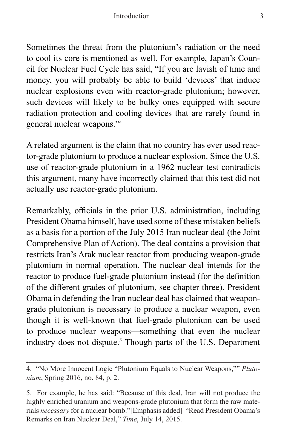Sometimes the threat from the plutonium's radiation or the need to cool its core is mentioned as well. For example, Japan's Council for Nuclear Fuel Cycle has said, "If you are lavish of time and money, you will probably be able to build 'devices' that induce nuclear explosions even with reactor-grade plutonium; however, such devices will likely to be bulky ones equipped with secure radiation protection and cooling devices that are rarely found in general nuclear weapons."4

A related argument is the claim that no country has ever used reactor-grade plutonium to produce a nuclear explosion. Since the U.S. use of reactor-grade plutonium in a 1962 nuclear test contradicts this argument, many have incorrectly claimed that this test did not actually use reactor-grade plutonium.

Remarkably, officials in the prior U.S. administration, including President Obama himself, have used some of these mistaken beliefs as a basis for a portion of the July 2015 Iran nuclear deal (the Joint Comprehensive Plan of Action). The deal contains a provision that restricts Iran's Arak nuclear reactor from producing weapon-grade plutonium in normal operation. The nuclear deal intends for the reactor to produce fuel-grade plutonium instead (for the definition of the different grades of plutonium, see chapter three). President Obama in defending the Iran nuclear deal has claimed that weapongrade plutonium is necessary to produce a nuclear weapon, even though it is well-known that fuel-grade plutonium can be used to produce nuclear weapons—something that even the nuclear industry does not dispute.<sup>5</sup> Though parts of the U.S. Department

<sup>4. &</sup>quot;No More Innocent Logic "Plutonium Equals to Nuclear Weapons,"" *Plutonium*, Spring 2016, no. 84, p. 2.

<sup>5.</sup> For example, he has said: "Because of this deal, Iran will not produce the highly enriched uranium and weapons-grade plutonium that form the raw materials *necessary* for a nuclear bomb."[Emphasis added] "Read President Obama's Remarks on Iran Nuclear Deal," *Time*, July 14, 2015.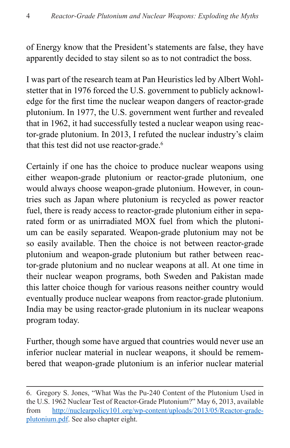of Energy know that the President's statements are false, they have apparently decided to stay silent so as to not contradict the boss.

I was part of the research team at Pan Heuristics led by Albert Wohlstetter that in 1976 forced the U.S. government to publicly acknowledge for the first time the nuclear weapon dangers of reactor-grade plutonium. In 1977, the U.S. government went further and revealed that in 1962, it had successfully tested a nuclear weapon using reactor-grade plutonium. In 2013, I refuted the nuclear industry's claim that this test did not use reactor-grade.<sup>6</sup>

Certainly if one has the choice to produce nuclear weapons using either weapon-grade plutonium or reactor-grade plutonium, one would always choose weapon-grade plutonium. However, in countries such as Japan where plutonium is recycled as power reactor fuel, there is ready access to reactor-grade plutonium either in separated form or as unirradiated MOX fuel from which the plutonium can be easily separated. Weapon-grade plutonium may not be so easily available. Then the choice is not between reactor-grade plutonium and weapon-grade plutonium but rather between reactor-grade plutonium and no nuclear weapons at all. At one time in their nuclear weapon programs, both Sweden and Pakistan made this latter choice though for various reasons neither country would eventually produce nuclear weapons from reactor-grade plutonium. India may be using reactor-grade plutonium in its nuclear weapons program today.

Further, though some have argued that countries would never use an inferior nuclear material in nuclear weapons, it should be remembered that weapon-grade plutonium is an inferior nuclear material

<sup>6.</sup> Gregory S. Jones, "What Was the Pu-240 Content of the Plutonium Used in the U.S. 1962 Nuclear Test of Reactor-Grade Plutonium?" May 6, 2013, available from [http://nuclearpolicy101.org/wp-content/uploads/2013/05/Reactor-grade](http://nuclearpolicy101.org/wp-content/uploads/2013/05/Reactor-grade-plutonium.pdf)[plutonium.pdf.](http://nuclearpolicy101.org/wp-content/uploads/2013/05/Reactor-grade-plutonium.pdf) See also chapter eight.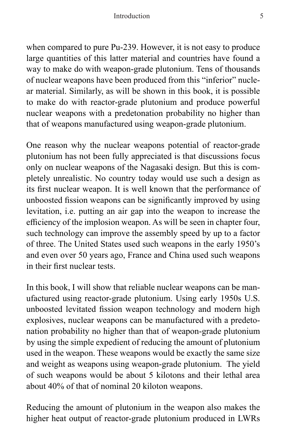when compared to pure Pu-239. However, it is not easy to produce large quantities of this latter material and countries have found a way to make do with weapon-grade plutonium. Tens of thousands of nuclear weapons have been produced from this "inferior" nuclear material. Similarly, as will be shown in this book, it is possible to make do with reactor-grade plutonium and produce powerful nuclear weapons with a predetonation probability no higher than that of weapons manufactured using weapon-grade plutonium.

One reason why the nuclear weapons potential of reactor-grade plutonium has not been fully appreciated is that discussions focus only on nuclear weapons of the Nagasaki design. But this is completely unrealistic. No country today would use such a design as its first nuclear weapon. It is well known that the performance of unboosted fission weapons can be significantly improved by using levitation, i.e. putting an air gap into the weapon to increase the efficiency of the implosion weapon. As will be seen in chapter four, such technology can improve the assembly speed by up to a factor of three. The United States used such weapons in the early 1950's and even over 50 years ago, France and China used such weapons in their first nuclear tests.

In this book, I will show that reliable nuclear weapons can be manufactured using reactor-grade plutonium. Using early 1950s U.S. unboosted levitated fission weapon technology and modern high explosives, nuclear weapons can be manufactured with a predetonation probability no higher than that of weapon-grade plutonium by using the simple expedient of reducing the amount of plutonium used in the weapon. These weapons would be exactly the same size and weight as weapons using weapon-grade plutonium. The yield of such weapons would be about 5 kilotons and their lethal area about 40% of that of nominal 20 kiloton weapons.

Reducing the amount of plutonium in the weapon also makes the higher heat output of reactor-grade plutonium produced in LWRs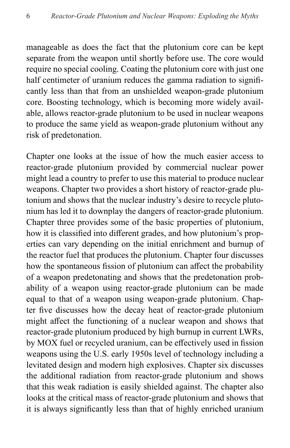manageable as does the fact that the plutonium core can be kept separate from the weapon until shortly before use. The core would require no special cooling. Coating the plutonium core with just one half centimeter of uranium reduces the gamma radiation to significantly less than that from an unshielded weapon-grade plutonium core. Boosting technology, which is becoming more widely available, allows reactor-grade plutonium to be used in nuclear weapons to produce the same yield as weapon-grade plutonium without any risk of predetonation.

Chapter one looks at the issue of how the much easier access to reactor-grade plutonium provided by commercial nuclear power might lead a country to prefer to use this material to produce nuclear weapons. Chapter two provides a short history of reactor-grade plutonium and shows that the nuclear industry's desire to recycle plutonium has led it to downplay the dangers of reactor-grade plutonium. Chapter three provides some of the basic properties of plutonium, how it is classified into different grades, and how plutonium's properties can vary depending on the initial enrichment and burnup of the reactor fuel that produces the plutonium. Chapter four discusses how the spontaneous fission of plutonium can affect the probability of a weapon predetonating and shows that the predetonation probability of a weapon using reactor-grade plutonium can be made equal to that of a weapon using weapon-grade plutonium. Chapter five discusses how the decay heat of reactor-grade plutonium might affect the functioning of a nuclear weapon and shows that reactor-grade plutonium produced by high burnup in current LWRs, by MOX fuel or recycled uranium, can be effectively used in fission weapons using the U.S. early 1950s level of technology including a levitated design and modern high explosives. Chapter six discusses the additional radiation from reactor-grade plutonium and shows that this weak radiation is easily shielded against. The chapter also looks at the critical mass of reactor-grade plutonium and shows that it is always significantly less than that of highly enriched uranium